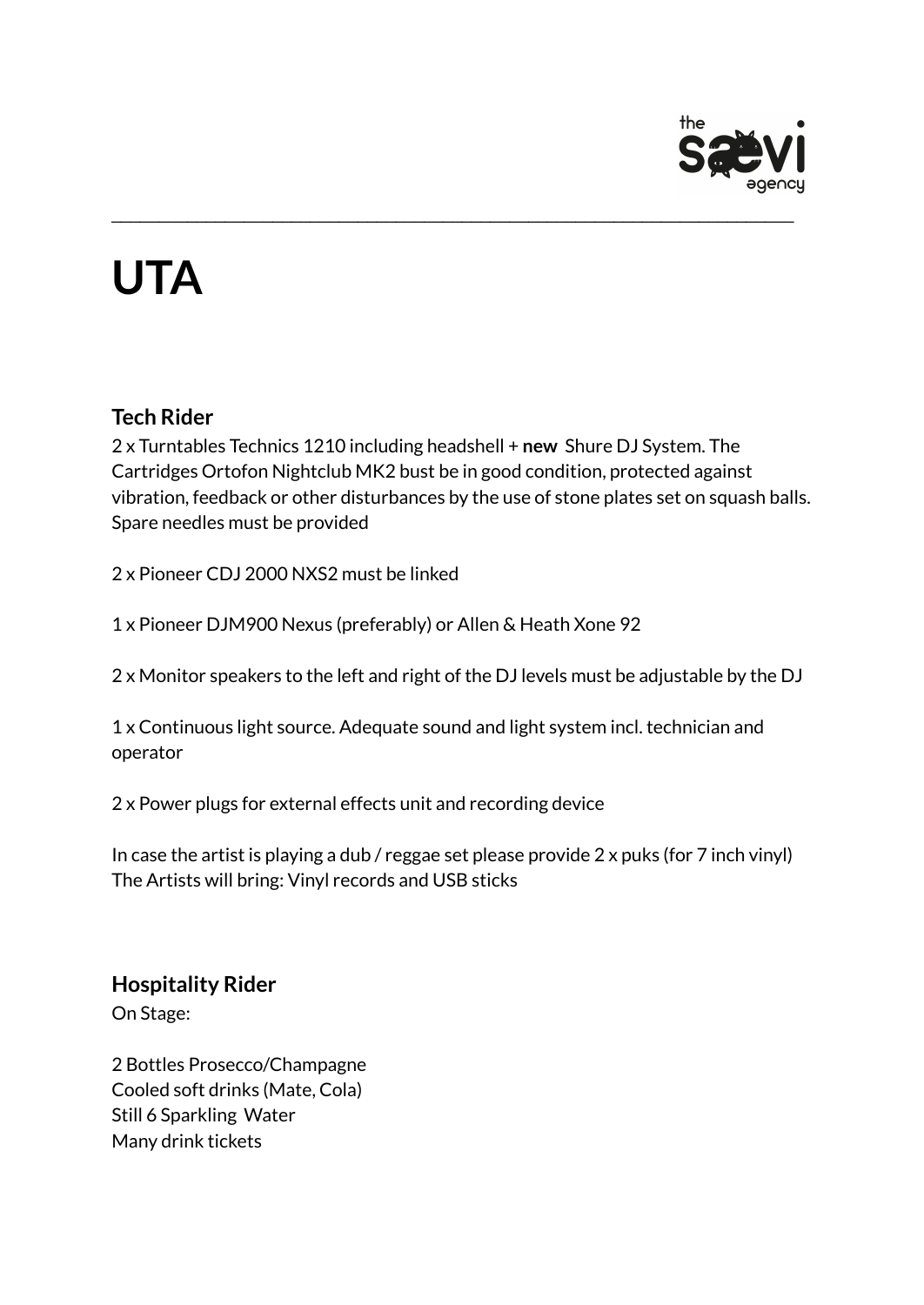

# **UTA**

### **Tech Rider**

2 x Turntables Technics 1210 including headshell + **new** Shure DJ System. The Cartridges Ortofon Nightclub MK2 bust be in good condition, protected against vibration, feedback or other disturbances by the use of stone plates set on squash balls. Spare needles must be provided

\_\_\_\_\_\_\_\_\_\_\_\_\_\_\_\_\_\_\_\_\_\_\_\_\_\_\_\_\_\_\_\_\_\_\_\_\_\_\_\_\_\_\_\_\_\_\_\_\_\_\_\_\_\_\_\_\_\_\_\_\_\_\_\_\_\_\_\_\_\_\_\_

2 x Pioneer CDJ 2000 NXS2 must be linked

1 x Pioneer DJM900 Nexus (preferably) or Allen & Heath Xone 92

2 x Monitor speakers to the left and right of the DJ levels must be adjustable by the DJ

1 x Continuous light source. Adequate sound and light system incl. technician and operator

2 x Power plugs for external effects unit and recording device

In case the artist is playing a dub / reggae set please provide 2 x puks (for 7 inch vinyl) The Artists will bring: Vinyl records and USB sticks

## **Hospitality Rider**

On Stage:

2 Bottles Prosecco/Champagne Cooled soft drinks (Mate, Cola) Still 6 Sparkling Water Many drink tickets